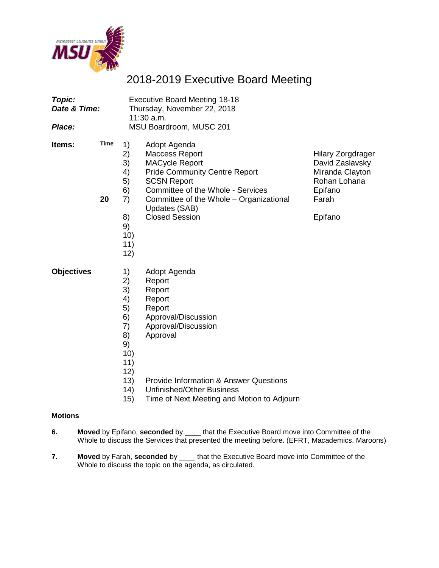

# 2018-2019 Executive Board Meeting

| Topic:<br>Date & Time:<br>Place: |            |                                                                                | <b>Executive Board Meeting 18-18</b><br>Thursday, November 22, 2018<br>11:30 a.m.<br>MSU Boardroom, MUSC 201                                                                                                                                           |                                                                                                               |
|----------------------------------|------------|--------------------------------------------------------------------------------|--------------------------------------------------------------------------------------------------------------------------------------------------------------------------------------------------------------------------------------------------------|---------------------------------------------------------------------------------------------------------------|
| Items:                           | Time<br>20 | 1)<br>2)<br>3)<br>4)<br>5)<br>6)<br>7)<br>8)<br>9)<br>10)<br>11)<br>12)        | Adopt Agenda<br><b>Maccess Report</b><br><b>MACycle Report</b><br><b>Pride Community Centre Report</b><br><b>SCSN Report</b><br>Committee of the Whole - Services<br>Committee of the Whole - Organizational<br>Updates (SAB)<br><b>Closed Session</b> | <b>Hilary Zorgdrager</b><br>David Zaslavsky<br>Miranda Clayton<br>Rohan Lohana<br>Epifano<br>Farah<br>Epifano |
| <b>Objectives</b>                |            | 1)<br>2)<br>3)<br>4)<br>5)<br>6)<br>7)<br>8)<br>9)<br>10)<br>11)<br>12)<br>131 | Adopt Agenda<br>Report<br>Report<br>Report<br>Report<br>Approval/Discussion<br>Approval/Discussion<br>Approval<br>Provide Information & Apswer Questions                                                                                               |                                                                                                               |

- 13) Provide Information & Answer Questions<br>14) Unfinished/Other Business
- 14) Unfinished/Other Business<br>15) Time of Next Meeting and N
- Time of Next Meeting and Motion to Adjourn

## **Motions**

- **6. Moved** by Epifano, **seconded** by \_\_\_\_ that the Executive Board move into Committee of the Whole to discuss the Services that presented the meeting before. (EFRT, Macademics, Maroons)
- **7. Moved** by Farah, **seconded** by \_\_\_\_ that the Executive Board move into Committee of the Whole to discuss the topic on the agenda, as circulated.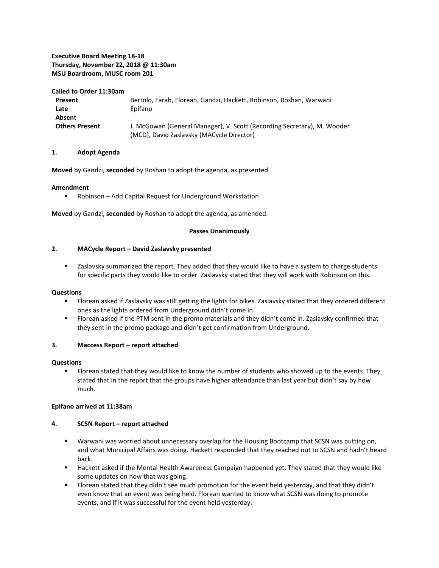### **Executive Board Meeting 18-18 Thursday, November 22, 2018 @ 11:30am MSU Boardroom, MUSC room 201**

#### **Called to Order 11:30am**

| Present               | Bertolo, Farah, Florean, Gandzi, Hackett, Robinson, Roshan, Warwani     |
|-----------------------|-------------------------------------------------------------------------|
| Late                  | Epifano                                                                 |
| Absent                |                                                                         |
| <b>Others Present</b> | J. McGowan (General Manager), V. Scott (Recording Secretary), M. Wooder |
|                       | (MCD), David Zaslavsky (MACycle Director)                               |

#### **1. Adopt Agenda**

**Moved** by Gandzi, **seconded** by Roshan to adopt the agenda, as presented.

#### **Amendment**

Robinson – Add Capital Request for Underground Workstation

**Moved** by Gandzi, **seconded** by Roshan to adopt the agenda, as amended.

#### **Passes Unanimously**

#### **2. MACycle Report – David Zaslavsky presented**

**EXEC** Zaslavsky summarized the report. They added that they would like to have a system to charge students for specific parts they would like to order. Zaslavsky stated that they will work with Robinson on this.

#### **Questions**

- **FIOT** Florean asked if Zaslavsky was still getting the lights for bikes. Zaslavsky stated that they ordered different ones as the lights ordered from Underground didn't come in.
- Florean asked if the PTM sent in the promo materials and they didn't come in. Zaslavsky confirmed that they sent in the promo package and didn't get confirmation from Underground.

#### **3. Maccess Report – report attached**

#### **Questions**

 Florean stated that they would like to know the number of students who showed up to the events. They stated that in the report that the groups have higher attendance than last year but didn't say by how much.

#### **Epifano arrived at 11:38am**

#### **4. SCSN Report – report attached**

- Warwani was worried about unnecessary overlap for the Housing Bootcamp that SCSN was putting on, and what Municipal Affairs was doing. Hackett responded that they reached out to SCSN and hadn't heard back.
- **Hackett asked if the Mental Health Awareness Campaign happened yet. They stated that they would like** some updates on how that was going.
- Florean stated that they didn't see much promotion for the event held yesterday, and that they didn't even know that an event was being held. Florean wanted to know what SCSN was doing to promote events, and if it was successful for the event held yesterday.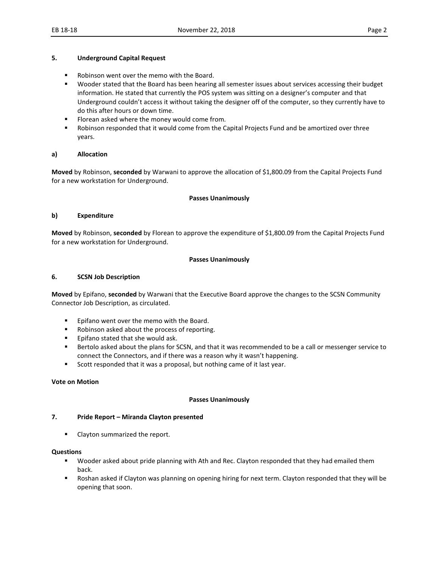#### **5. Underground Capital Request**

- **Robinson went over the memo with the Board.**
- Wooder stated that the Board has been hearing all semester issues about services accessing their budget information. He stated that currently the POS system was sitting on a designer's computer and that Underground couldn't access it without taking the designer off of the computer, so they currently have to do this after hours or down time.
- **Florean asked where the money would come from.**
- **Robinson responded that it would come from the Capital Projects Fund and be amortized over three** years.

#### **a) Allocation**

**Moved** by Robinson, **seconded** by Warwani to approve the allocation of \$1,800.09 from the Capital Projects Fund for a new workstation for Underground.

#### **Passes Unanimously**

#### **b) Expenditure**

**Moved** by Robinson, **seconded** by Florean to approve the expenditure of \$1,800.09 from the Capital Projects Fund for a new workstation for Underground.

#### **Passes Unanimously**

#### **6. SCSN Job Description**

**Moved** by Epifano, **seconded** by Warwani that the Executive Board approve the changes to the SCSN Community Connector Job Description, as circulated.

- **Epifano went over the memo with the Board.**
- Robinson asked about the process of reporting.
- **Epifano stated that she would ask.**
- **Bertolo asked about the plans for SCSN, and that it was recommended to be a call or messenger service to** connect the Connectors, and if there was a reason why it wasn't happening.
- Scott responded that it was a proposal, but nothing came of it last year.

#### **Vote on Motion**

#### **Passes Unanimously**

#### **7. Pride Report – Miranda Clayton presented**

Clayton summarized the report.

#### **Questions**

- Wooder asked about pride planning with Ath and Rec. Clayton responded that they had emailed them back.
- Roshan asked if Clayton was planning on opening hiring for next term. Clayton responded that they will be opening that soon.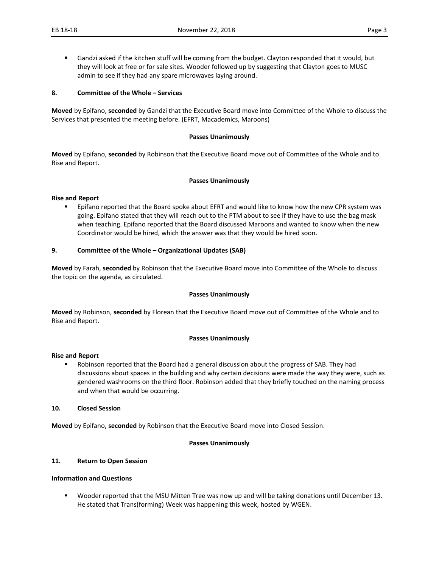Gandzi asked if the kitchen stuff will be coming from the budget. Clayton responded that it would, but they will look at free or for sale sites. Wooder followed up by suggesting that Clayton goes to MUSC admin to see if they had any spare microwaves laying around.

#### **8. Committee of the Whole – Services**

**Moved** by Epifano, **seconded** by Gandzi that the Executive Board move into Committee of the Whole to discuss the Services that presented the meeting before. (EFRT, Macademics, Maroons)

#### **Passes Unanimously**

**Moved** by Epifano, **seconded** by Robinson that the Executive Board move out of Committee of the Whole and to Rise and Report.

#### **Passes Unanimously**

#### **Rise and Report**

**Epifano reported that the Board spoke about EFRT and would like to know how the new CPR system was** going. Epifano stated that they will reach out to the PTM about to see if they have to use the bag mask when teaching. Epifano reported that the Board discussed Maroons and wanted to know when the new Coordinator would be hired, which the answer was that they would be hired soon.

#### **9. Committee of the Whole – Organizational Updates (SAB)**

**Moved** by Farah, **seconded** by Robinson that the Executive Board move into Committee of the Whole to discuss the topic on the agenda, as circulated.

#### **Passes Unanimously**

**Moved** by Robinson, **seconded** by Florean that the Executive Board move out of Committee of the Whole and to Rise and Report.

#### **Passes Unanimously**

#### **Rise and Report**

 Robinson reported that the Board had a general discussion about the progress of SAB. They had discussions about spaces in the building and why certain decisions were made the way they were, such as gendered washrooms on the third floor. Robinson added that they briefly touched on the naming process and when that would be occurring.

#### **10. Closed Session**

**Moved** by Epifano, **seconded** by Robinson that the Executive Board move into Closed Session.

#### **Passes Unanimously**

### **11. Return to Open Session**

#### **Information and Questions**

 Wooder reported that the MSU Mitten Tree was now up and will be taking donations until December 13. He stated that Trans(forming) Week was happening this week, hosted by WGEN.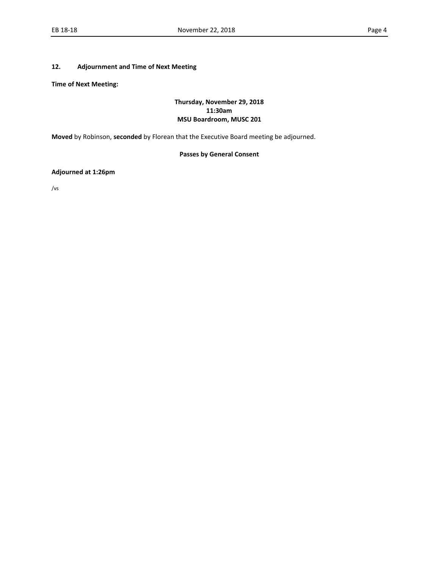#### **12. Adjournment and Time of Next Meeting**

**Time of Next Meeting:** 

### **Thursday, November 29, 2018 11:30am MSU Boardroom, MUSC 201**

**Moved** by Robinson, **seconded** by Florean that the Executive Board meeting be adjourned.

# **Passes by General Consent**

#### **Adjourned at 1:26pm**

/vs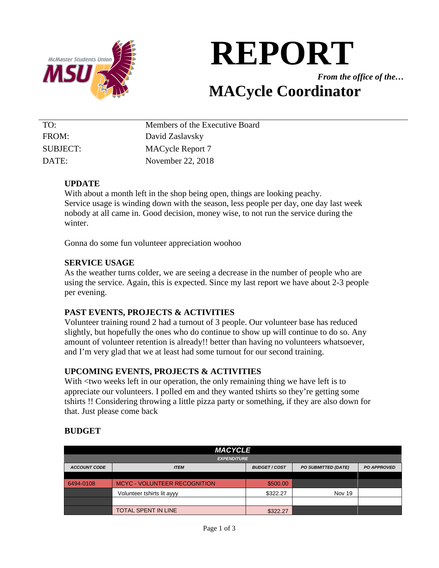

# **REPORT**

*From the office of the…*

# **MACycle Coordinator**

| TO:      | Members of the Executive Board |
|----------|--------------------------------|
| FROM:    | David Zaslavsky                |
| SUBJECT: | MACycle Report 7               |
| DATE:    | November 22, 2018              |

# **UPDATE**

With about a month left in the shop being open, things are looking peachy. Service usage is winding down with the season, less people per day, one day last week nobody at all came in. Good decision, money wise, to not run the service during the winter.

Gonna do some fun volunteer appreciation woohoo

# **SERVICE USAGE**

As the weather turns colder, we are seeing a decrease in the number of people who are using the service. Again, this is expected. Since my last report we have about 2-3 people per evening.

# **PAST EVENTS, PROJECTS & ACTIVITIES**

Volunteer training round 2 had a turnout of 3 people. Our volunteer base has reduced slightly, but hopefully the ones who do continue to show up will continue to do so. Any amount of volunteer retention is already!! better than having no volunteers whatsoever, and I'm very glad that we at least had some turnout for our second training.

# **UPCOMING EVENTS, PROJECTS & ACTIVITIES**

With  $\lt$ two weeks left in our operation, the only remaining thing we have left is to appreciate our volunteers. I polled em and they wanted tshirts so they're getting some tshirts !! Considering throwing a little pizza party or something, if they are also down for that. Just please come back

# **BUDGET**

| <b>MACYCLE</b>      |                                                                                       |          |        |  |  |
|---------------------|---------------------------------------------------------------------------------------|----------|--------|--|--|
|                     | <b>EXPENDITURE</b>                                                                    |          |        |  |  |
| <b>ACCOUNT CODE</b> | <b>BUDGET/COST</b><br><b>PO SUBMITTED (DATE)</b><br><b>PO APPROVED</b><br><b>ITEM</b> |          |        |  |  |
|                     |                                                                                       |          |        |  |  |
| 6494-0108           | <b>MCYC - VOLUNTEER RECOGNITION</b>                                                   | \$500.00 |        |  |  |
|                     | Volunteer tshirts lit ayyy                                                            | \$322.27 | Nov 19 |  |  |
|                     |                                                                                       |          |        |  |  |
|                     | <b>TOTAL SPENT IN LINE</b>                                                            | \$322.27 |        |  |  |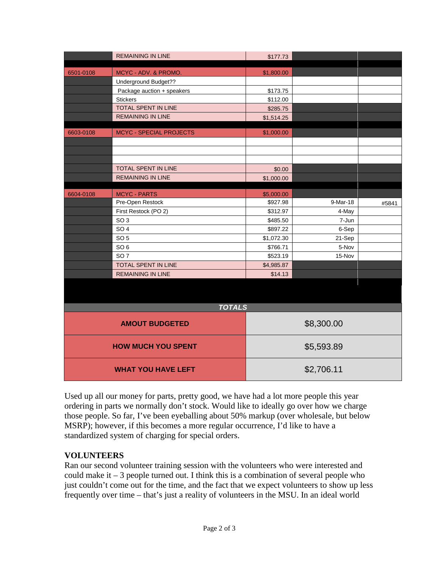|                           | <b>REMAINING IN LINE</b>       | \$177.73   |            |       |
|---------------------------|--------------------------------|------------|------------|-------|
|                           |                                |            |            |       |
| 6501-0108                 | MCYC - ADV. & PROMO.           | \$1,800.00 |            |       |
|                           | Underground Budget??           |            |            |       |
|                           | Package auction + speakers     | \$173.75   |            |       |
|                           | <b>Stickers</b>                | \$112.00   |            |       |
|                           | TOTAL SPENT IN LINE            | \$285.75   |            |       |
|                           | <b>REMAINING IN LINE</b>       | \$1,514.25 |            |       |
| 6603-0108                 | <b>MCYC - SPECIAL PROJECTS</b> | \$1,000.00 |            |       |
|                           |                                |            |            |       |
|                           |                                |            |            |       |
|                           | TOTAL SPENT IN LINE            | \$0.00     |            |       |
|                           | <b>REMAINING IN LINE</b>       | \$1,000.00 |            |       |
|                           |                                |            |            |       |
| 6604-0108                 | <b>MCYC - PARTS</b>            | \$5,000.00 |            |       |
|                           | Pre-Open Restock               | \$927.98   | 9-Mar-18   | #5841 |
|                           | First Restock (PO 2)           | \$312.97   | 4-May      |       |
|                           | SO <sub>3</sub>                | \$485.50   | 7-Jun      |       |
|                           | SO <sub>4</sub>                | \$897.22   | 6-Sep      |       |
|                           | SO <sub>5</sub>                | \$1,072.30 | 21-Sep     |       |
|                           | SO <sub>6</sub>                | \$766.71   | 5-Nov      |       |
|                           | SO <sub>7</sub>                | \$523.19   | 15-Nov     |       |
|                           | TOTAL SPENT IN LINE            | \$4,985.87 |            |       |
|                           | <b>REMAINING IN LINE</b>       | \$14.13    |            |       |
|                           |                                |            |            |       |
|                           |                                |            |            |       |
|                           | <b>TOTALS</b>                  |            |            |       |
| <b>AMOUT BUDGETED</b>     |                                |            | \$8,300.00 |       |
| <b>HOW MUCH YOU SPENT</b> |                                |            | \$5,593.89 |       |

| <b>WHAT YOU HAVE LEFT</b>                                                             | \$2,706.11 |  |  |
|---------------------------------------------------------------------------------------|------------|--|--|
| Used up all our money for parts, pretty good, we have had a lot more people this year |            |  |  |

ordering in parts we normally don't stock. Would like to ideally go over how we charge those people. So far, I've been eyeballing about 50% markup (over wholesale, but below MSRP); however, if this becomes a more regular occurrence, I'd like to have a standardized system of charging for special orders.

# **VOLUNTEERS**

Ran our second volunteer training session with the volunteers who were interested and could make  $it - 3$  people turned out. I think this is a combination of several people who just couldn't come out for the time, and the fact that we expect volunteers to show up less frequently over time – that's just a reality of volunteers in the MSU. In an ideal world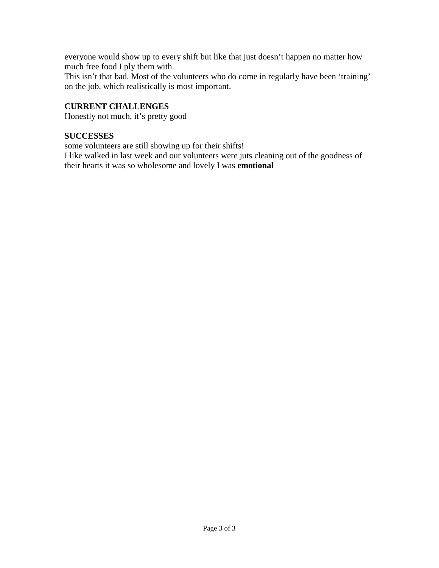everyone would show up to every shift but like that just doesn't happen no matter how much free food I ply them with.

This isn't that bad. Most of the volunteers who do come in regularly have been 'training' on the job, which realistically is most important.

# **CURRENT CHALLENGES**

Honestly not much, it's pretty good

# **SUCCESSES**

some volunteers are still showing up for their shifts!

I like walked in last week and our volunteers were juts cleaning out of the goodness of their hearts it was so wholesome and lovely I was **emotional**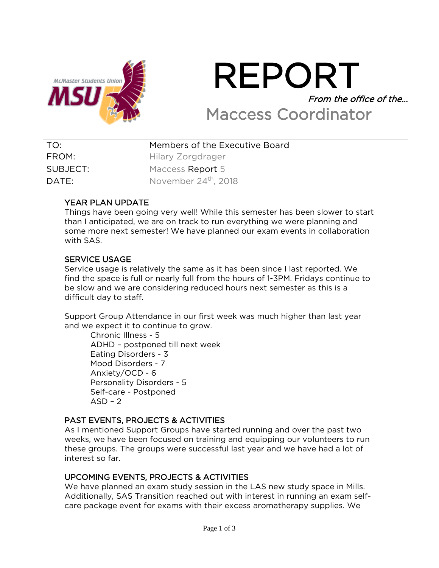

# REPORT From the office of the… Maccess Coordinator

| TO:      | Members of the Executive Board   |
|----------|----------------------------------|
| FROM:    | Hilary Zorgdrager                |
| SUBJECT: | Maccess Report 5                 |
| DATE:    | November 24 <sup>th</sup> , 2018 |

# YEAR PLAN UPDATE

Things have been going very well! While this semester has been slower to start than I anticipated, we are on track to run everything we were planning and some more next semester! We have planned our exam events in collaboration with SAS.

# SERVICE USAGE

Service usage is relatively the same as it has been since I last reported. We find the space is full or nearly full from the hours of 1-3PM. Fridays continue to be slow and we are considering reduced hours next semester as this is a difficult day to staff.

Support Group Attendance in our first week was much higher than last year and we expect it to continue to grow.

Chronic Illness - 5 ADHD – postponed till next week Eating Disorders - 3 Mood Disorders - 7 Anxiety/OCD - 6 Personality Disorders - 5 Self-care - Postponed  $ASD - 2$ 

# PAST EVENTS, PROJECTS & ACTIVITIES

As I mentioned Support Groups have started running and over the past two weeks, we have been focused on training and equipping our volunteers to run these groups. The groups were successful last year and we have had a lot of interest so far.

# UPCOMING EVENTS, PROJECTS & ACTIVITIES

We have planned an exam study session in the LAS new study space in Mills. Additionally, SAS Transition reached out with interest in running an exam selfcare package event for exams with their excess aromatherapy supplies. We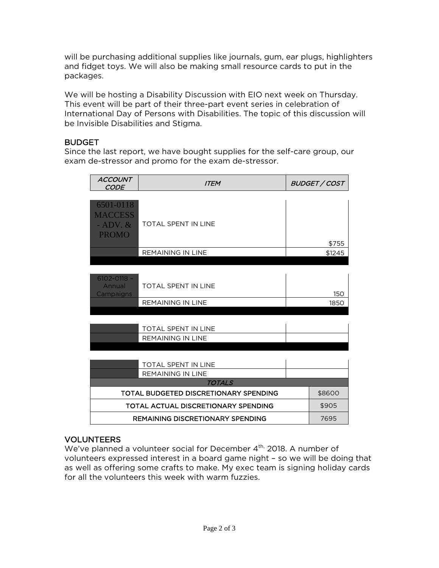will be purchasing additional supplies like journals, gum, ear plugs, highlighters and fidget toys. We will also be making small resource cards to put in the packages.

We will be hosting a Disability Discussion with EIO next week on Thursday. This event will be part of their three-part event series in celebration of International Day of Persons with Disabilities. The topic of this discussion will be Invisible Disabilities and Stigma.

# **BUDGET**

Since the last report, we have bought supplies for the self-care group, our exam de-stressor and promo for the exam de-stressor.

| ACCOUNT<br><b>CODE</b>                      | <b>ITEM</b>                                |      | <b>BUDGET / COST</b> |
|---------------------------------------------|--------------------------------------------|------|----------------------|
| 6501-0118<br><b>MACCESS</b><br>$-$ ADV. $&$ | <b>TOTAL SPENT IN LINE</b>                 |      |                      |
| <b>PROMO</b>                                |                                            |      | \$755                |
|                                             | <b>REMAINING IN LINE</b>                   |      | \$1245               |
|                                             |                                            |      |                      |
| $6102 - 0118 -$<br>Annual<br>Campaigns      | <b>TOTAL SPENT IN LINE</b>                 |      | 150                  |
|                                             | <b>REMAINING IN LINE</b>                   | 1850 |                      |
|                                             |                                            |      |                      |
|                                             | <b>TOTAL SPENT IN LINE</b>                 |      |                      |
|                                             | <b>REMAINING IN LINE</b>                   |      |                      |
|                                             |                                            |      |                      |
|                                             | TOTAL SPENT IN LINE                        |      |                      |
|                                             | <b>REMAINING IN LINE</b>                   |      |                      |
|                                             | <b>TOTALS</b>                              |      |                      |
|                                             | TOTAL BUDGETED DISCRETIONARY SPENDING      |      | \$8600               |
|                                             | <b>TOTAL ACTUAL DISCRETIONARY SPENDING</b> |      | \$905                |
|                                             | <b>REMAINING DISCRETIONARY SPENDING</b>    |      |                      |

# VOLUNTEERS

We've planned a volunteer social for December 4<sup>th,</sup> 2018. A number of volunteers expressed interest in a board game night – so we will be doing that as well as offering some crafts to make. My exec team is signing holiday cards for all the volunteers this week with warm fuzzies.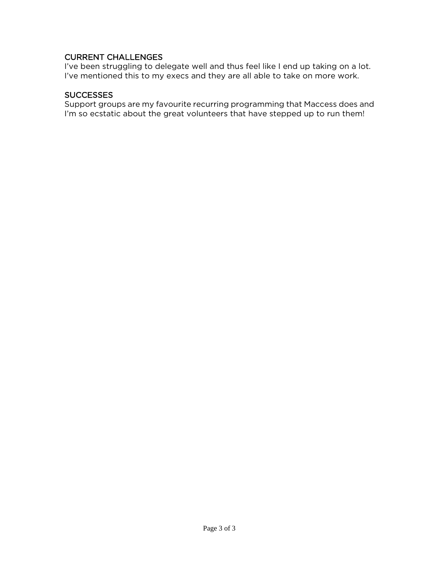# CURRENT CHALLENGES

I've been struggling to delegate well and thus feel like I end up taking on a lot. I've mentioned this to my execs and they are all able to take on more work.

# **SUCCESSES**

Support groups are my favourite recurring programming that Maccess does and I'm so ecstatic about the great volunteers that have stepped up to run them!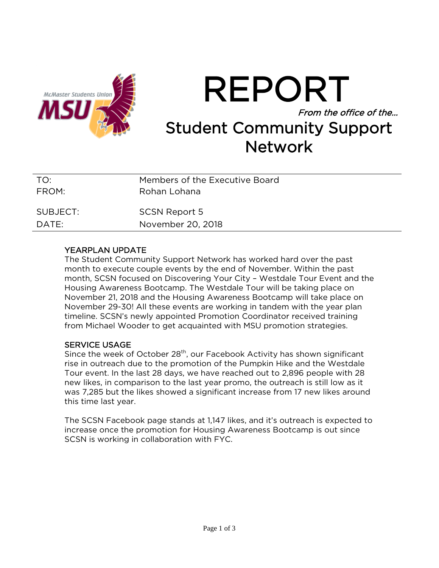

# REPORT From the office of the… Student Community Support **Network**

| TO:      | Members of the Executive Board |
|----------|--------------------------------|
| FROM:    | Rohan Lohana                   |
| SUBJECT: | <b>SCSN Report 5</b>           |
| DATE:    | November 20, 2018              |

# YEARPLAN UPDATE

The Student Community Support Network has worked hard over the past month to execute couple events by the end of November. Within the past month, SCSN focused on Discovering Your City – Westdale Tour Event and the Housing Awareness Bootcamp. The Westdale Tour will be taking place on November 21, 2018 and the Housing Awareness Bootcamp will take place on November 29-30! All these events are working in tandem with the year plan timeline. SCSN's newly appointed Promotion Coordinator received training from Michael Wooder to get acquainted with MSU promotion strategies.

# SERVICE USAGE

Since the week of October 28<sup>th</sup>, our Facebook Activity has shown significant rise in outreach due to the promotion of the Pumpkin Hike and the Westdale Tour event. In the last 28 days, we have reached out to 2,896 people with 28 new likes, in comparison to the last year promo, the outreach is still low as it was 7,285 but the likes showed a significant increase from 17 new likes around this time last year.

The SCSN Facebook page stands at 1,147 likes, and it's outreach is expected to increase once the promotion for Housing Awareness Bootcamp is out since SCSN is working in collaboration with FYC.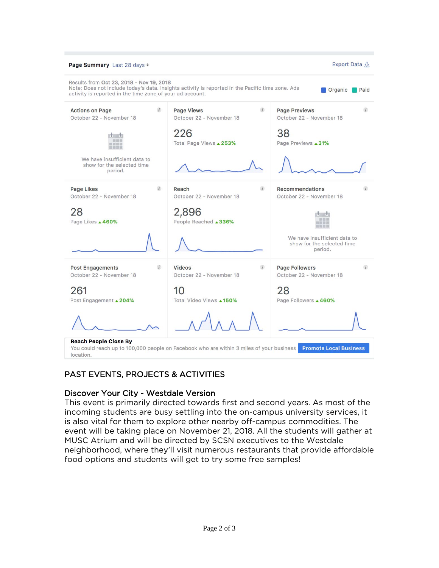

# PAST EVENTS, PROJECTS & ACTIVITIES

# Discover Your City - Westdale Version

This event is primarily directed towards first and second years. As most of the incoming students are busy settling into the on-campus university services, it is also vital for them to explore other nearby off-campus commodities. The event will be taking place on November 21, 2018. All the students will gather at MUSC Atrium and will be directed by SCSN executives to the Westdale neighborhood, where they'll visit numerous restaurants that provide affordable food options and students will get to try some free samples!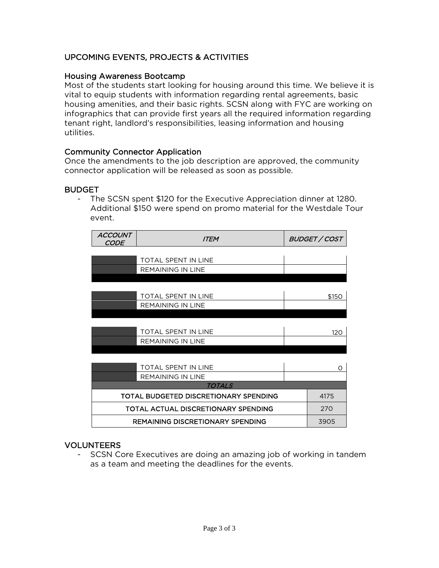# UPCOMING EVENTS, PROJECTS & ACTIVITIES

# Housing Awareness Bootcamp

Most of the students start looking for housing around this time. We believe it is vital to equip students with information regarding rental agreements, basic housing amenities, and their basic rights. SCSN along with FYC are working on infographics that can provide first years all the required information regarding tenant right, landlord's responsibilities, leasing information and housing utilities.

# Community Connector Application

Once the amendments to the job description are approved, the community connector application will be released as soon as possible.

# BUDGET

- The SCSN spent \$120 for the Executive Appreciation dinner at 1280. Additional \$150 were spend on promo material for the Westdale Tour event.

| <b>ACCOUNT</b><br><i>CODE</i> | <b>ITEM</b>                                |   | <b>BUDGET / COST</b> |
|-------------------------------|--------------------------------------------|---|----------------------|
|                               |                                            |   |                      |
|                               | <b>TOTAL SPENT IN LINE</b>                 |   |                      |
|                               | <b>REMAINING IN LINE</b>                   |   |                      |
|                               |                                            |   |                      |
|                               |                                            |   |                      |
|                               | TOTAL SPENT IN LINE                        |   | \$150                |
|                               | <b>REMAINING IN LINE</b>                   |   |                      |
|                               |                                            |   |                      |
|                               |                                            |   |                      |
|                               | TOTAL SPENT IN LINE                        |   | 120                  |
| REMAINING IN LINE             |                                            |   |                      |
|                               |                                            |   |                      |
|                               |                                            |   |                      |
|                               | <b>TOTAL SPENT IN LINE</b>                 | ∩ |                      |
|                               | <b>REMAINING IN LINE</b>                   |   |                      |
|                               | <b>TOTALS</b>                              |   |                      |
|                               | TOTAL BUDGETED DISCRETIONARY SPENDING      |   | 4175                 |
|                               | <b>TOTAL ACTUAL DISCRETIONARY SPENDING</b> |   | 270                  |
|                               | <b>REMAINING DISCRETIONARY SPENDING</b>    |   | 3905                 |

# VOLUNTEERS

- SCSN Core Executives are doing an amazing job of working in tandem as a team and meeting the deadlines for the events.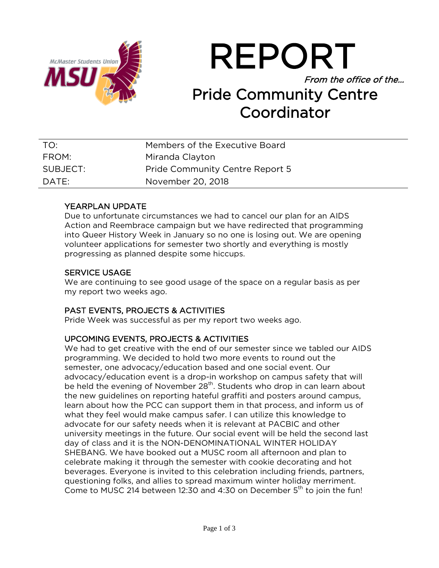

REPORT From the office of the… Pride Community Centre Coordinator

| TO:      | Members of the Executive Board         |
|----------|----------------------------------------|
| FROM:    | Miranda Clayton                        |
| SUBJECT: | <b>Pride Community Centre Report 5</b> |
| DATE:    | November 20, 2018                      |

# YEARPLAN UPDATE

Due to unfortunate circumstances we had to cancel our plan for an AIDS Action and Reembrace campaign but we have redirected that programming into Queer History Week in January so no one is losing out. We are opening volunteer applications for semester two shortly and everything is mostly progressing as planned despite some hiccups.

# SERVICE USAGE

We are continuing to see good usage of the space on a regular basis as per my report two weeks ago.

# PAST EVENTS, PROJECTS & ACTIVITIES

Pride Week was successful as per my report two weeks ago.

# UPCOMING EVENTS, PROJECTS & ACTIVITIES

We had to get creative with the end of our semester since we tabled our AIDS programming. We decided to hold two more events to round out the semester, one advocacy/education based and one social event. Our advocacy/education event is a drop-in workshop on campus safety that will be held the evening of November 28<sup>th</sup>. Students who drop in can learn about the new guidelines on reporting hateful graffiti and posters around campus, learn about how the PCC can support them in that process, and inform us of what they feel would make campus safer. I can utilize this knowledge to advocate for our safety needs when it is relevant at PACBIC and other university meetings in the future. Our social event will be held the second last day of class and it is the NON-DENOMINATIONAL WINTER HOLIDAY SHEBANG. We have booked out a MUSC room all afternoon and plan to celebrate making it through the semester with cookie decorating and hot beverages. Everyone is invited to this celebration including friends, partners, questioning folks, and allies to spread maximum winter holiday merriment. Come to MUSC 214 between 12:30 and 4:30 on December 5<sup>th</sup> to join the fun!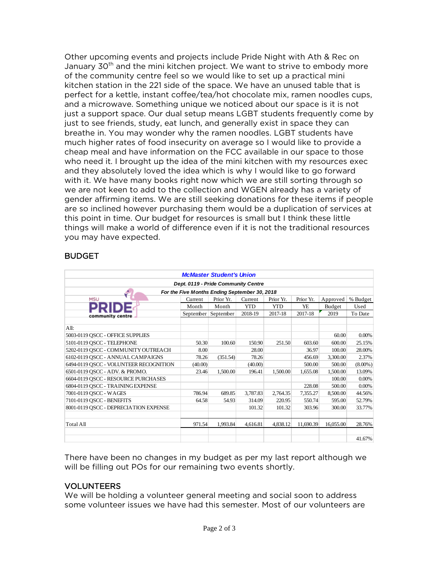Other upcoming events and projects include Pride Night with Ath & Rec on January  $30<sup>th</sup>$  and the mini kitchen project. We want to strive to embody more of the community centre feel so we would like to set up a practical mini kitchen station in the 221 side of the space. We have an unused table that is perfect for a kettle, instant coffee/tea/hot chocolate mix, ramen noodles cups, and a microwave. Something unique we noticed about our space is it is not just a support space. Our dual setup means LGBT students frequently come by just to see friends, study, eat lunch, and generally exist in space they can breathe in. You may wonder why the ramen noodles. LGBT students have much higher rates of food insecurity on average so I would like to provide a cheap meal and have information on the FCC available in our space to those who need it. I brought up the idea of the mini kitchen with my resources exec and they absolutely loved the idea which is why I would like to go forward with it. We have many books right now which we are still sorting through so we are not keen to add to the collection and WGEN already has a variety of gender affirming items. We are still seeking donations for these items if people are so inclined however purchasing them would be a duplication of services at this point in time. Our budget for resources is small but I think these little things will make a world of difference even if it is not the traditional resources you may have expected.

# **BUDGET**

| <b>McMaster Student's Union</b>               |         |                     |            |            |           |           |            |  |  |
|-----------------------------------------------|---------|---------------------|------------|------------|-----------|-----------|------------|--|--|
| Dept. 0119 - Pride Community Centre           |         |                     |            |            |           |           |            |  |  |
| For the Five Months Ending September 30, 2018 |         |                     |            |            |           |           |            |  |  |
| <b>MSU</b>                                    | Current | Prior Yr.           | Current    | Prior Yr.  | Prior Yr. | Approved  | % Budget   |  |  |
|                                               | Month   | Month               | <b>YTD</b> | <b>YTD</b> | YE.       | Budget    | Used       |  |  |
| community centre                              |         | September September | 2018-19    | 2017-18    | 2017-18   | 2019      | To Date    |  |  |
| All:                                          |         |                     |            |            |           |           |            |  |  |
| 5003-0119 QSCC - OFFICE SUPPLIES              |         |                     |            |            |           | 60.00     | $0.00\%$   |  |  |
| 5101-0119 OSCC - TELEPHONE                    | 50.30   | 100.60              | 150.90     | 251.50     | 603.60    | 600.00    | 25.15%     |  |  |
| 5202-0119 QSCC - COMMUNITY OUTREACH           | 8.00    |                     | 28.00      |            | 36.97     | 100.00    | 28.00%     |  |  |
| 6102-0119 OSCC - ANNUAL CAMPAIGNS             | 78.26   | (351.54)            | 78.26      |            | 456.69    | 3,300.00  | 2.37%      |  |  |
| 6494-0119 QSCC - VOLUNTEER RECOGNITION        | (40.00) |                     | (40.00)    |            | 500.00    | 500.00    | $(8.00\%)$ |  |  |
| 6501-0119 QSCC - ADV. & PROMO.                | 23.46   | 1.500.00            | 196.41     | 1.500.00   | 1.655.08  | 1,500.00  | 13.09%     |  |  |
| 6604-0119 OSCC - RESOURCE PURCHASES           |         |                     |            |            |           | 100.00    | $0.00\%$   |  |  |
| 6804-0119 OSCC - TRAINING EXPENSE             |         |                     |            |            | 228.08    | 500.00    | 0.00%      |  |  |
| 7001-0119 OSCC - WAGES                        | 786.94  | 689.85              | 3,787.83   | 2,764.35   | 7,355.27  | 8.500.00  | 44.56%     |  |  |
| 7101-0119 OSCC - BENEFITS                     | 64.58   | 54.93               | 314.09     | 220.95     | 550.74    | 595.00    | 52.79%     |  |  |
| 8001-0119 QSCC - DEPRECIATION EXPENSE         |         |                     | 101.32     | 101.32     | 303.96    | 300.00    | 33.77%     |  |  |
| <b>Total All</b>                              | 971.54  | 1,993.84            | 4.616.81   | 4.838.12   | 11,690.39 | 16,055.00 | 28.76%     |  |  |
|                                               |         |                     |            |            |           |           | 41.67%     |  |  |

There have been no changes in my budget as per my last report although we will be filling out POs for our remaining two events shortly.

# VOLUNTEERS

We will be holding a volunteer general meeting and social soon to address some volunteer issues we have had this semester. Most of our volunteers are